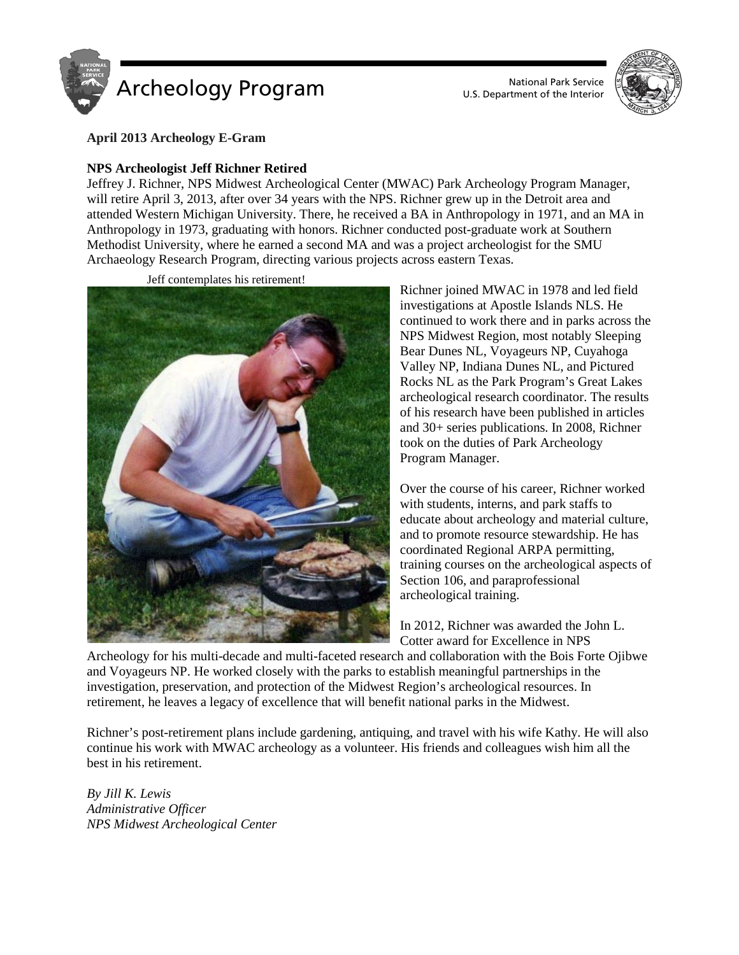

U.S. Department of the Interior



**April 2013 Archeology E-Gram**

## **NPS Archeologist Jeff Richner Retired**

Jeffrey J. Richner, NPS Midwest Archeological Center (MWAC) Park Archeology Program Manager, will retire April 3, 2013, after over 34 years with the NPS. Richner grew up in the Detroit area and attended Western Michigan University. There, he received a BA in Anthropology in 1971, and an MA in Anthropology in 1973, graduating with honors. Richner conducted post-graduate work at Southern Methodist University, where he earned a second MA and was a project archeologist for the SMU Archaeology Research Program, directing various projects across eastern Texas.



Jeff contemplates his retirement!

Richner joined MWAC in 1978 and led field investigations at Apostle Islands NLS. He continued to work there and in parks across the NPS Midwest Region, most notably Sleeping Bear Dunes NL, Voyageurs NP, Cuyahoga Valley NP, Indiana Dunes NL, and Pictured Rocks NL as the Park Program's Great Lakes archeological research coordinator. The results of his research have been published in articles and 30+ series publications. In 2008, Richner took on the duties of Park Archeology Program Manager.

Over the course of his career, Richner worked with students, interns, and park staffs to educate about archeology and material culture, and to promote resource stewardship. He has coordinated Regional ARPA permitting, training courses on the archeological aspects of Section 106, and paraprofessional archeological training.

In 2012, Richner was awarded the John L. Cotter award for Excellence in NPS

Archeology for his multi-decade and multi-faceted research and collaboration with the Bois Forte Ojibwe and Voyageurs NP. He worked closely with the parks to establish meaningful partnerships in the investigation, preservation, and protection of the Midwest Region's archeological resources. In retirement, he leaves a legacy of excellence that will benefit national parks in the Midwest.

Richner's post-retirement plans include gardening, antiquing, and travel with his wife Kathy. He will also continue his work with MWAC archeology as a volunteer. His friends and colleagues wish him all the best in his retirement.

*By [Jill K. Lewis](mailto:Jill_Lewis@nps.gov) Administrative Officer NPS Midwest Archeological Center*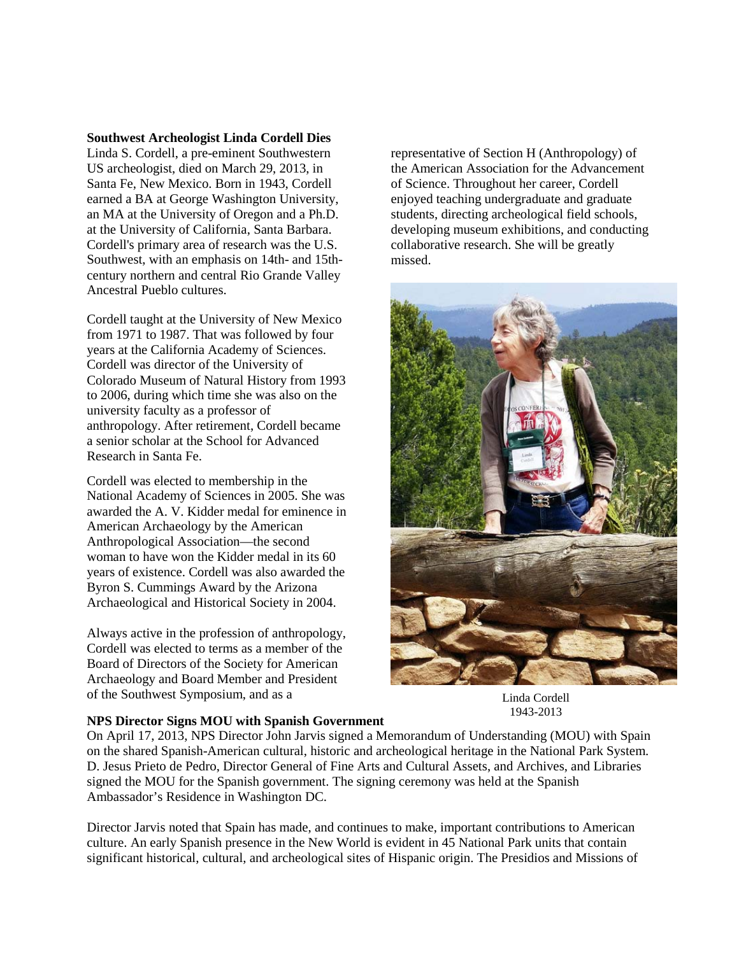#### **Southwest Archeologist Linda Cordell Dies**

Linda S. Cordell, a pre-eminent Southwestern US archeologist, died on March 29, 2013, in Santa Fe, New Mexico. Born in 1943, Cordell earned a BA at George Washington University, an MA at the University of Oregon and a Ph.D. at the University of California, Santa Barbara. Cordell's primary area of research was the U.S. Southwest, with an emphasis on 14th- and 15thcentury northern and central Rio Grande Valley Ancestral Pueblo cultures.

Cordell taught at the University of New Mexico from 1971 to 1987. That was followed by four years at the California Academy of Sciences. Cordell was director of the University of Colorado Museum of Natural History from 1993 to 2006, during which time she was also on the university faculty as a professor of anthropology. After retirement, Cordell became a senior scholar at the School for Advanced Research in Santa Fe.

Cordell was elected to membership in the National Academy of Sciences in 2005. She was awarded the A. V. Kidder medal for eminence in American Archaeology by the American Anthropological Association—the second woman to have won the Kidder medal in its 60 years of existence. Cordell was also awarded the Byron S. Cummings Award by the Arizona Archaeological and Historical Society in 2004.

Always active in the profession of anthropology, Cordell was elected to terms as a member of the Board of Directors of the Society for American Archaeology and Board Member and President of the Southwest Symposium, and as a

representative of Section H (Anthropology) of the American Association for the Advancement of Science. Throughout her career, Cordell enjoyed teaching undergraduate and graduate students, directing archeological field schools, developing museum exhibitions, and conducting collaborative research. She will be greatly missed.



Linda Cordell 1943-2013

#### **NPS Director Signs MOU with Spanish Government**

On April 17, 2013, NPS Director John Jarvis signed a Memorandum of Understanding (MOU) with Spain on the shared Spanish-American cultural, historic and archeological heritage in the National Park System. D. Jesus Prieto de Pedro, Director General of Fine Arts and Cultural Assets, and Archives, and Libraries signed the MOU for the Spanish government. The signing ceremony was held at the Spanish Ambassador's Residence in Washington DC.

Director Jarvis noted that Spain has made, and continues to make, important contributions to American culture. An early Spanish presence in the New World is evident in 45 National Park units that contain significant historical, cultural, and archeological sites of Hispanic origin. The Presidios and Missions of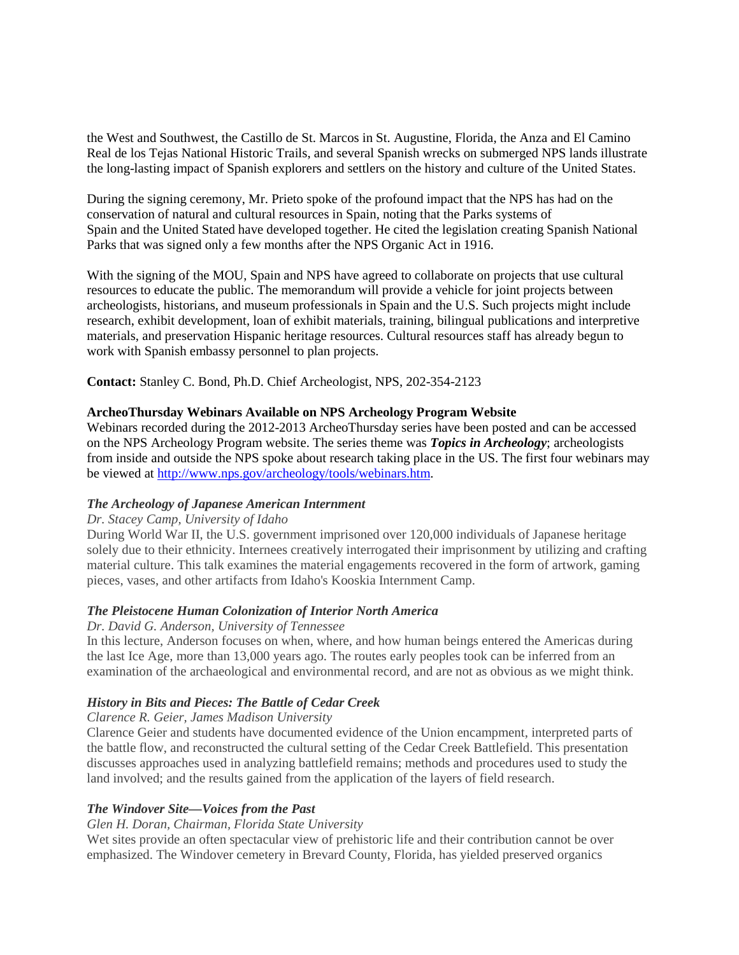the West and Southwest, the Castillo de St. Marcos in St. Augustine, Florida, the Anza and El Camino Real de los Tejas National Historic Trails, and several Spanish wrecks on submerged NPS lands illustrate the long-lasting impact of Spanish explorers and settlers on the history and culture of the United States.

During the signing ceremony, Mr. Prieto spoke of the profound impact that the NPS has had on the conservation of natural and cultural resources in Spain, noting that the Parks systems of Spain and the United Stated have developed together. He cited the legislation creating Spanish National Parks that was signed only a few months after the NPS Organic Act in 1916.

With the signing of the MOU, Spain and NPS have agreed to collaborate on projects that use cultural resources to educate the public. The memorandum will provide a vehicle for joint projects between archeologists, historians, and museum professionals in Spain and the U.S. Such projects might include research, exhibit development, loan of exhibit materials, training, bilingual publications and interpretive materials, and preservation Hispanic heritage resources. Cultural resources staff has already begun to work with Spanish embassy personnel to plan projects.

**Contact:** Stanley C. Bond, Ph.D. Chief Archeologist, NPS, 202-354-2123

### **ArcheoThursday Webinars Available on NPS Archeology Program Website**

Webinars recorded during the 2012-2013 ArcheoThursday series have been posted and can be accessed on the NPS Archeology Program website. The series theme was *Topics in Archeology*; archeologists from inside and outside the NPS spoke about research taking place in the US. The first four webinars may be viewed at [http://www.nps.gov/archeology/tools/webinars.htm.](http://www.nps.gov/archeology/tools/webinars.htm)

#### *[The Archeology of Japanese American Internment](http://www.nps.gov/archeology/tools/videos/camp.wmv)*

#### *Dr. Stacey Camp, University of Idaho*

During World War II, the U.S. government imprisoned over 120,000 individuals of Japanese heritage solely due to their ethnicity. Internees creatively interrogated their imprisonment by utilizing and crafting material culture. This talk examines the material engagements recovered in the form of artwork, gaming pieces, vases, and other artifacts from Idaho's Kooskia Internment Camp.

### *The Pleistocene Human Colonization of Interior North America*

### *Dr. David G. Anderson, University of Tennessee*

In this lecture, Anderson focuses on when, where, and how human beings entered the Americas during the last Ice Age, more than 13,000 years ago. The routes early peoples took can be inferred from an examination of the archaeological and environmental record, and are not as obvious as we might think.

### *History in Bits and Pieces: The Battle of Cedar Creek*

### *Clarence R. Geier, James Madison University*

Clarence Geier and students have documented evidence of the Union encampment, interpreted parts of the battle flow, and reconstructed the cultural setting of the Cedar Creek Battlefield. This presentation discusses approaches used in analyzing battlefield remains; methods and procedures used to study the land involved; and the results gained from the application of the layers of field research.

### *The Windover Site—Voices from the Past*

*Glen H. Doran, Chairman, Florida State University*

Wet sites provide an often spectacular view of prehistoric life and their contribution cannot be over emphasized. The Windover cemetery in Brevard County, Florida, has yielded preserved organics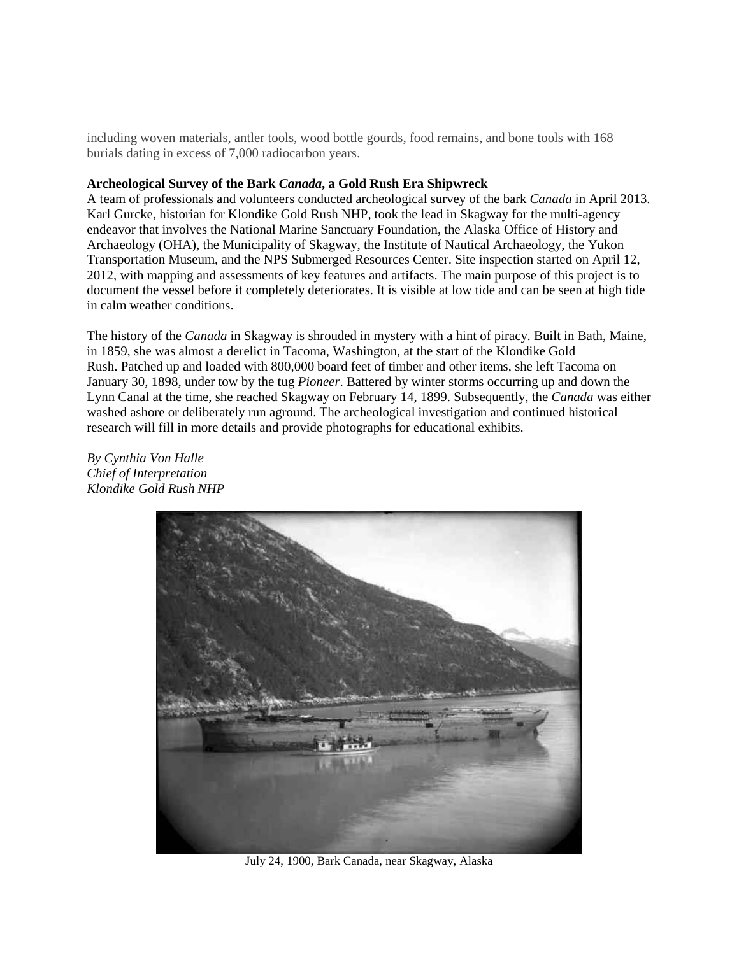including woven materials, antler tools, wood bottle gourds, food remains, and bone tools with 168 burials dating in excess of 7,000 radiocarbon years.

### **Archeological Survey of the Bark** *Canada***, a Gold Rush Era Shipwreck**

A team of professionals and volunteers conducted archeological survey of the bark *Canada* in April 2013. Karl Gurcke, historian for Klondike Gold Rush NHP, took the lead in Skagway for the multi-agency endeavor that involves the National Marine Sanctuary Foundation, the Alaska Office of History and Archaeology (OHA), the Municipality of Skagway, the Institute of Nautical Archaeology, the Yukon Transportation Museum, and the NPS Submerged Resources Center. Site inspection started on April 12, 2012, with mapping and assessments of key features and artifacts. The main purpose of this project is to document the vessel before it completely deteriorates. It is visible at low tide and can be seen at high tide in calm weather conditions.

The history of the *Canada* in Skagway is shrouded in mystery with a hint of piracy. Built in Bath, Maine, in 1859, she was almost a derelict in Tacoma, Washington, at the start of the Klondike Gold Rush. Patched up and loaded with 800,000 board feet of timber and other items, she left Tacoma on January 30, 1898, under tow by the tug *Pioneer*. Battered by winter storms occurring up and down the Lynn Canal at the time, she reached Skagway on February 14, 1899. Subsequently, the *Canada* was either washed ashore or deliberately run aground. The archeological investigation and continued historical research will fill in more details and provide photographs for educational exhibits.

*By Cynthia Von Halle Chief of Interpretation Klondike Gold Rush NHP*



July 24, 1900, Bark Canada, near Skagway, Alaska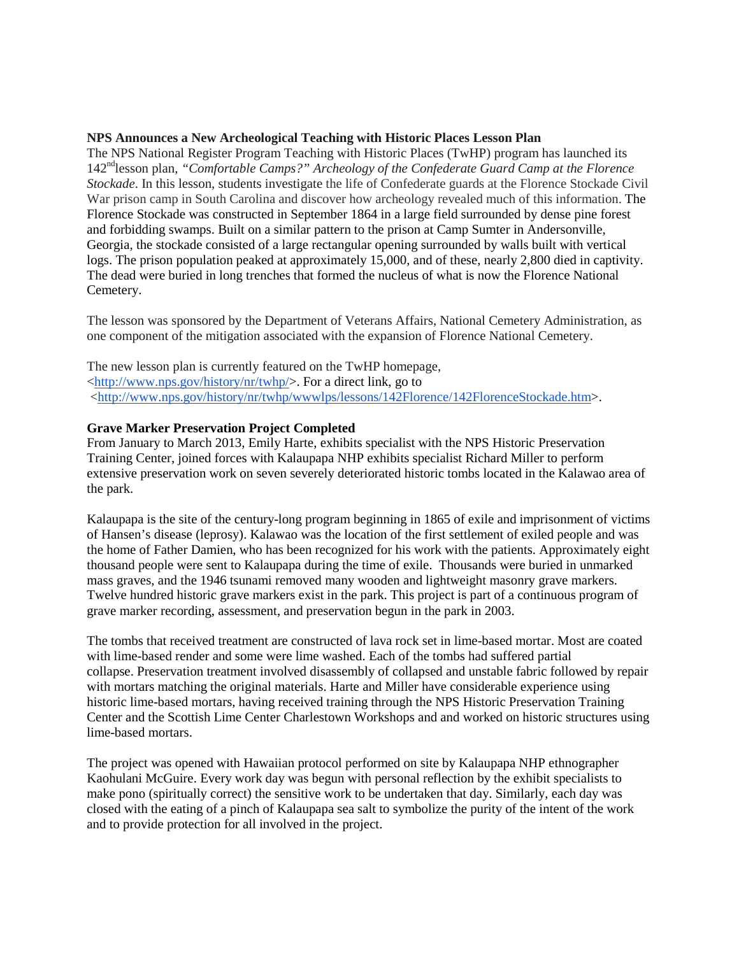### **NPS Announces a New Archeological Teaching with Historic Places Lesson Plan**

The NPS National Register Program Teaching with Historic Places (TwHP) program has launched its 142ndlesson plan, *"Comfortable Camps?" Archeology of the Confederate Guard Camp at the Florence Stockade*. In this lesson, students investigate the life of Confederate guards at the Florence Stockade Civil War prison camp in South Carolina and discover how archeology revealed much of this information. The Florence Stockade was constructed in September 1864 in a large field surrounded by dense pine forest and forbidding swamps. Built on a similar pattern to the prison at Camp Sumter in Andersonville, Georgia, the stockade consisted of a large rectangular opening surrounded by walls built with vertical logs. The prison population peaked at approximately 15,000, and of these, nearly 2,800 died in captivity. The dead were buried in long trenches that formed the nucleus of what is now the Florence National Cemetery.

The lesson was sponsored by the Department of Veterans Affairs, National Cemetery Administration, as one component of the mitigation associated with the expansion of Florence National Cemetery.

The new lesson plan is currently featured on the TwHP homepage, [<http://www.nps.gov/history/nr/twhp/>](http://www.nps.gov/history/nr/twhp/). For a direct link, go to [<http://www.nps.gov/history/nr/twhp/wwwlps/lessons/142Florence/142FlorenceStockade.htm>](http://www.nps.gov/history/nr/twhp/wwwlps/lessons/142Florence/142FlorenceStockade.htm).

### **Grave Marker Preservation Project Completed**

From January to March 2013, Emily Harte, exhibits specialist with the NPS Historic Preservation Training Center, joined forces with Kalaupapa NHP exhibits specialist Richard Miller to perform extensive preservation work on seven severely deteriorated historic tombs located in the Kalawao area of the park.

Kalaupapa is the site of the century-long program beginning in 1865 of exile and imprisonment of victims of Hansen's disease (leprosy). Kalawao was the location of the first settlement of exiled people and was the home of Father Damien, who has been recognized for his work with the patients. Approximately eight thousand people were sent to Kalaupapa during the time of exile. Thousands were buried in unmarked mass graves, and the 1946 tsunami removed many wooden and lightweight masonry grave markers. Twelve hundred historic grave markers exist in the park. This project is part of a continuous program of grave marker recording, assessment, and preservation begun in the park in 2003.

The tombs that received treatment are constructed of lava rock set in lime-based mortar. Most are coated with lime-based render and some were lime washed. Each of the tombs had suffered partial collapse. Preservation treatment involved disassembly of collapsed and unstable fabric followed by repair with mortars matching the original materials. Harte and Miller have considerable experience using historic lime-based mortars, having received training through the NPS Historic Preservation Training Center and the Scottish Lime Center Charlestown Workshops and and worked on historic structures using lime-based mortars.

The project was opened with Hawaiian protocol performed on site by Kalaupapa NHP ethnographer Kaohulani McGuire. Every work day was begun with personal reflection by the exhibit specialists to make pono (spiritually correct) the sensitive work to be undertaken that day. Similarly, each day was closed with the eating of a pinch of Kalaupapa sea salt to symbolize the purity of the intent of the work and to provide protection for all involved in the project.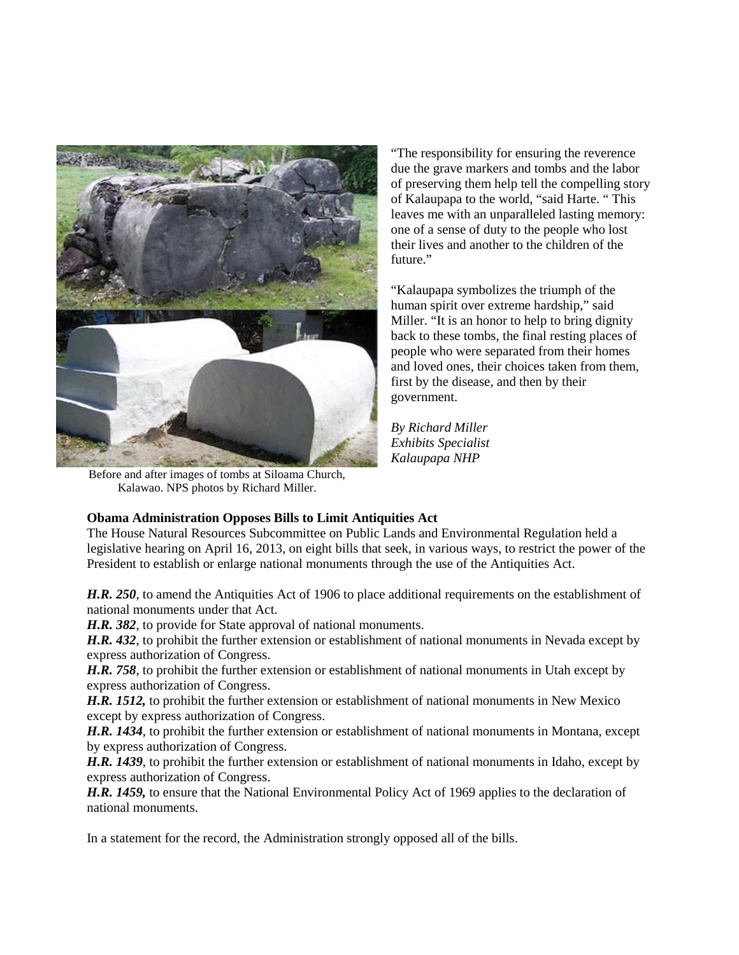

of preserving them help tell the compelling story of Kalaupapa to the world, "said Harte. " This leaves me with an unparalleled lasting memory: one of a sense of duty to the people who lost their lives and another to the children of the future"

"The responsibility for ensuring the reverence due the grave markers and tombs and the labor

"Kalaupapa symbolizes the triumph of the human spirit over extreme hardship," said Miller. "It is an honor to help to bring dignity back to these tombs, the final resting places of people who were separated from their homes and loved ones, their choices taken from them, first by the disease, and then by their government.

*By Richard Miller Exhibits Specialist Kalaupapa NHP*

Before and after images of tombs at Siloama Church, Kalawao. NPS photos by Richard Miller.

# **Obama Administration Opposes Bills to Limit Antiquities Act**

The House Natural Resources Subcommittee on Public Lands and Environmental Regulation held a legislative hearing on April 16, 2013, on eight bills that seek, in various ways, to restrict the power of the President to establish or enlarge national monuments through the use of the Antiquities Act.

*H.R. 250*, to amend the Antiquities Act of 1906 to place additional requirements on the establishment of national monuments under that Act.

*H.R. 382*, to provide for State approval of national monuments.

*H.R. 432*, to prohibit the further extension or establishment of national monuments in Nevada except by express authorization of Congress.

*H.R. 758*, to prohibit the further extension or establishment of national monuments in Utah except by express authorization of Congress.

*H.R. 1512,* to prohibit the further extension or establishment of national monuments in New Mexico except by express authorization of Congress.

*H.R. 1434*, to prohibit the further extension or establishment of national monuments in Montana, except by express authorization of Congress.

*H.R. 1439*, to prohibit the further extension or establishment of national monuments in Idaho, except by express authorization of Congress.

*H.R. 1459,* to ensure that the National Environmental Policy Act of 1969 applies to the declaration of national monuments.

In a statement for the record, the Administration strongly opposed all of the bills.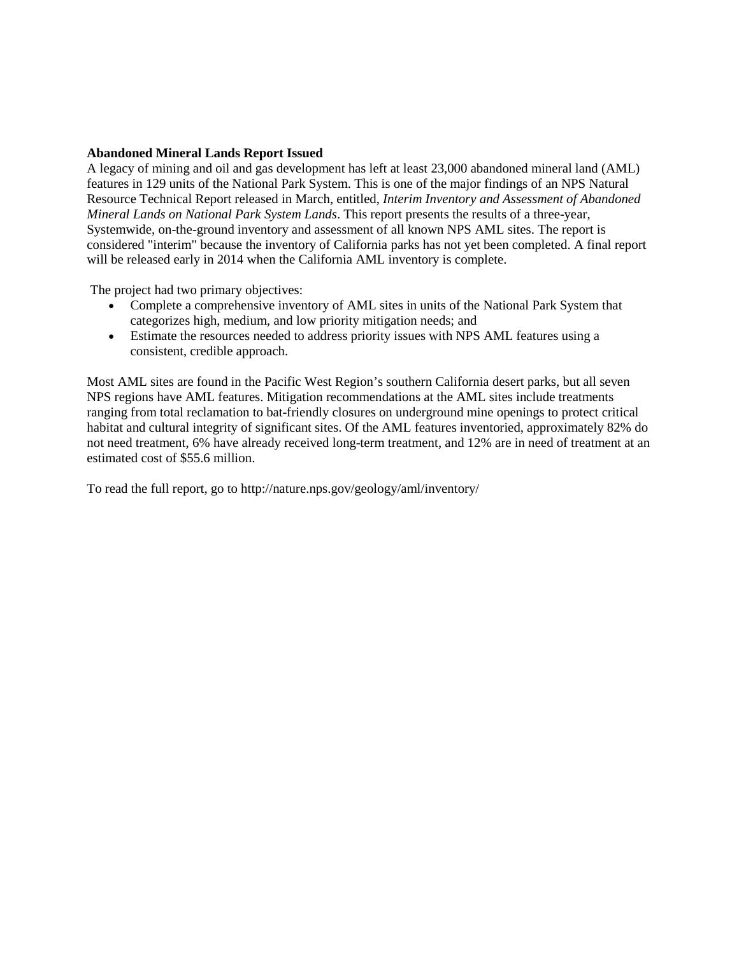### **Abandoned Mineral Lands Report Issued**

A legacy of mining and oil and gas development has left at least 23,000 abandoned mineral land (AML) features in 129 units of the National Park System. This is one of the major findings of an NPS Natural Resource Technical Report released in March, entitled, *Interim Inventory and Assessment of Abandoned Mineral Lands on National Park System Lands*. This report presents the results of a three-year, Systemwide, on-the-ground inventory and assessment of all known NPS AML sites. The report is considered "interim" because the inventory of California parks has not yet been completed. A final report will be released early in 2014 when the California AML inventory is complete.

The project had two primary objectives:

- Complete a comprehensive inventory of AML sites in units of the National Park System that categorizes high, medium, and low priority mitigation needs; and
- Estimate the resources needed to address priority issues with NPS AML features using a consistent, credible approach.

Most AML sites are found in the Pacific West Region's southern California desert parks, but all seven NPS regions have AML features. Mitigation recommendations at the AML sites include treatments ranging from total reclamation to bat-friendly closures on underground mine openings to protect critical habitat and cultural integrity of significant sites. Of the AML features inventoried, approximately 82% do not need treatment, 6% have already received long-term treatment, and 12% are in need of treatment at an estimated cost of \$55.6 million.

To read the full report, go to http://nature.nps.gov/geology/aml/inventory/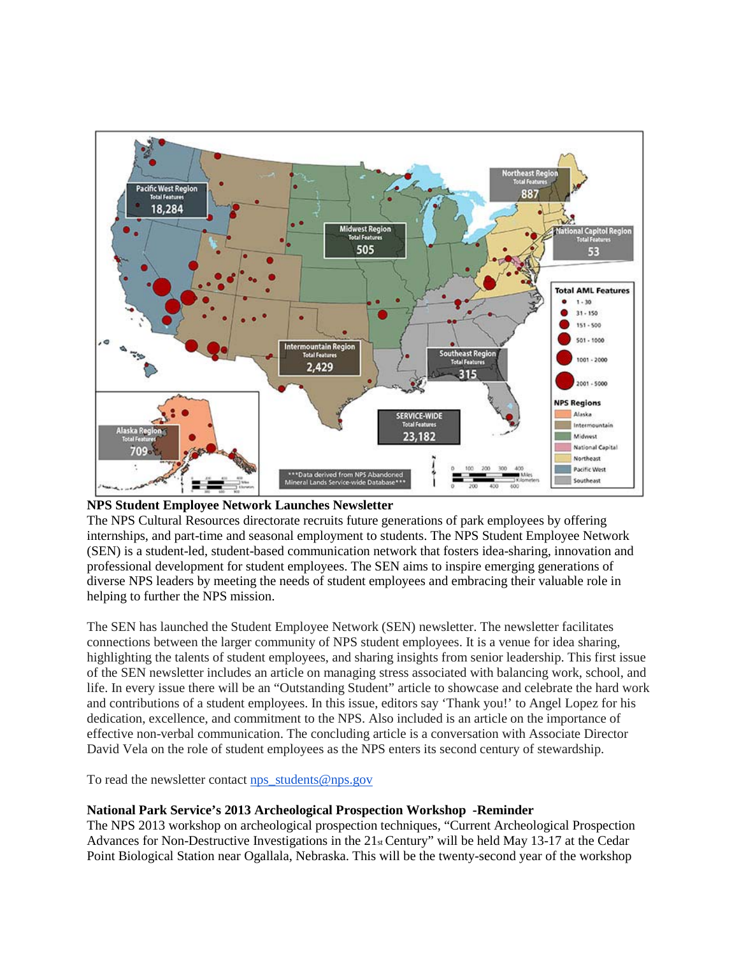



The NPS Cultural Resources directorate recruits future generations of park employees by offering internships, and part-time and seasonal employment to students. The NPS Student Employee Network (SEN) is a student-led, student-based communication network that fosters idea-sharing, innovation and professional development for student employees. The SEN aims to inspire emerging generations of diverse NPS leaders by meeting the needs of student employees and embracing their valuable role in helping to further the NPS mission.

The SEN has launched the Student Employee Network (SEN) newsletter. The newsletter facilitates connections between the larger community of NPS student employees. It is a venue for idea sharing, highlighting the talents of student employees, and sharing insights from senior leadership. This first issue of the SEN newsletter includes an article on managing stress associated with balancing work, school, and life. In every issue there will be an "Outstanding Student" article to showcase and celebrate the hard work and contributions of a student employees. In this issue, editors say 'Thank you!' to Angel Lopez for his dedication, excellence, and commitment to the NPS. Also included is an article on the importance of effective non-verbal communication. The concluding article is a conversation with Associate Director David Vela on the role of student employees as the NPS enters its second century of stewardship.

To read the newsletter contact [nps\\_students@nps.gov](mailto:nps_students@nps.gov)

### **National Park Service's 2013 Archeological Prospection Workshop -Reminder**

The NPS 2013 workshop on archeological prospection techniques, "Current Archeological Prospection Advances for Non-Destructive Investigations in the 21<sub>st</sub> Century" will be held May 13-17 at the Cedar Point Biological Station near Ogallala, Nebraska. This will be the twenty-second year of the workshop